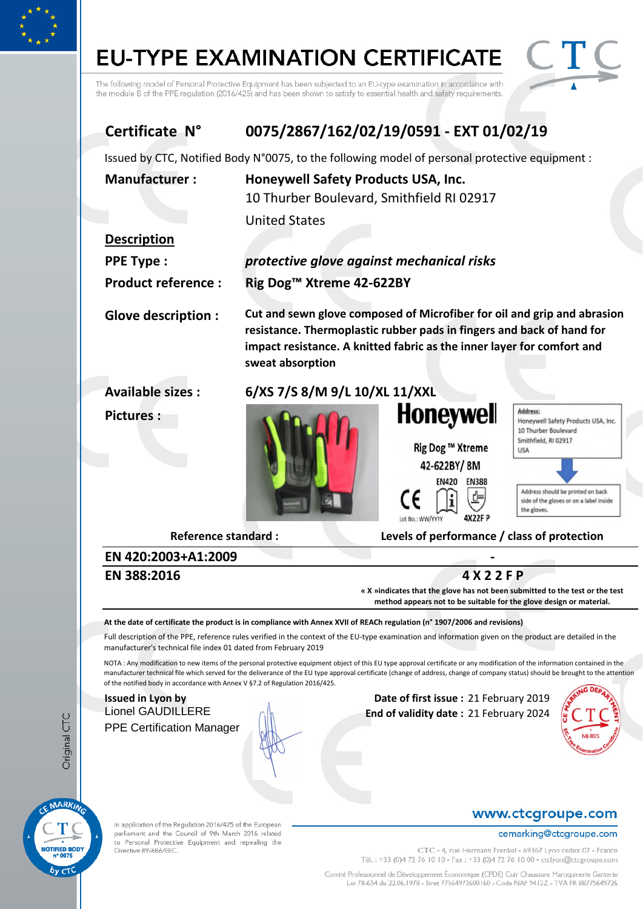# **EU-TYPE EXAMINATION CERTIFICATE**



The following model of Personal Protective Equipment has been subjected to an EU-type examination in accordance with the module B of the PPE regulation (2016/425) and has been shown to satisfy to essential health and safety requirements.

# **Certificate N° 0075/2867/162/02/19/0591 - EXT 01/02/19**

Issued by CTC, Notified Body N°0075, to the following model of personal protective equipment :

| <b>Manufacturer:</b>      | Honeywell Safety Products USA, Inc.                                                                                                                                                                                                            |                                                                                                                    |                                                                                                                                                                                                       |  |
|---------------------------|------------------------------------------------------------------------------------------------------------------------------------------------------------------------------------------------------------------------------------------------|--------------------------------------------------------------------------------------------------------------------|-------------------------------------------------------------------------------------------------------------------------------------------------------------------------------------------------------|--|
|                           | 10 Thurber Boulevard, Smithfield RI 02917                                                                                                                                                                                                      |                                                                                                                    |                                                                                                                                                                                                       |  |
|                           | <b>United States</b>                                                                                                                                                                                                                           |                                                                                                                    |                                                                                                                                                                                                       |  |
| <b>Description</b>        |                                                                                                                                                                                                                                                |                                                                                                                    |                                                                                                                                                                                                       |  |
| <b>PPE Type:</b>          | protective glove against mechanical risks                                                                                                                                                                                                      |                                                                                                                    |                                                                                                                                                                                                       |  |
| <b>Product reference:</b> |                                                                                                                                                                                                                                                | Rig Dog <sup>™</sup> Xtreme 42-622BY                                                                               |                                                                                                                                                                                                       |  |
| <b>Glove description:</b> | Cut and sewn glove composed of Microfiber for oil and grip and abrasion<br>resistance. Thermoplastic rubber pads in fingers and back of hand for<br>impact resistance. A knitted fabric as the inner layer for comfort and<br>sweat absorption |                                                                                                                    |                                                                                                                                                                                                       |  |
| <b>Available sizes:</b>   | 6/XS 7/S 8/M 9/L 10/XL 11/XXL                                                                                                                                                                                                                  |                                                                                                                    |                                                                                                                                                                                                       |  |
| <b>Pictures:</b>          |                                                                                                                                                                                                                                                | <b>Honeywell</b><br>Rig Dog ™ Xtreme<br>42-622BY/8M<br><b>EN420</b><br><b>EN388</b><br>4X22F P<br>Lot No.: WW/YYYY | Address:<br>Honeywell Safety Products USA, Inc.<br>10 Thurber Boulevard<br>Smithfield, RI 02917<br>USA<br>Address should be printed on back<br>side of the gloves or on a label inside<br>the gloves. |  |

**Reference standard : Levels of performance / class of protection**

# **EN 420:2003+A1:2009 -**

**EN 388:2016**

**4 X 2 2 F P**

**« X »indicates that the glove has not been submitted to the test or the test method appears not to be suitable for the glove design or material.**

**At the date of certificate the product is in compliance with Annex XVII of REACh regulation (n° 1907/2006 and revisions)**

Full description of the PPE, reference rules verified in the context of the EU-type examination and information given on the product are detailed in the manufacturer's technical file index 01 dated from February 2019

NOTA: Any modification to new items of the personal protective equipment object of this EU type approval certificate or any modification of the information contained in the manufacturer technical file which served for the deliverance of the EU type approval certificate (change of address, change of company status) should be brought to the attention of the notified body in accordance with Annex V §7.2 of Regulation 2016/425.

# PPE Certification Manager

**Issued in Lyon by Community Community Community Community Date of first issue :** 21 February 2019 Lionel GAUDILLERE **End of validity date :** 21 February 2024



MARKING **TIFIED BOD** n° 0075

In application of the Regulation 2016/425 of the European parliament and the Council of 9th March 2016 related to Personal Protective Equipment and repealing the Directive 89/686/EEC.

### www.ctcgroupe.com

#### cemarking@ctcgroupe.com

CTC - 4, rue Hermann Frenkel - 69367 Lyon cedex 07 - France Tél.: +33 (0)4 72 76 10 10 - Fax: +33 (0)4 72 76 10 00 - ctclyon@ctcgroupe.com

Comité Professionnel de Développement Économique (CPDE) Cuir Chaussure Maroquinerie Ganterie Loi 78-654 du 22.06.1978 - Siret 77564972600160 - Code NAF 9412Z - TVA FR 88775649726

Original CTC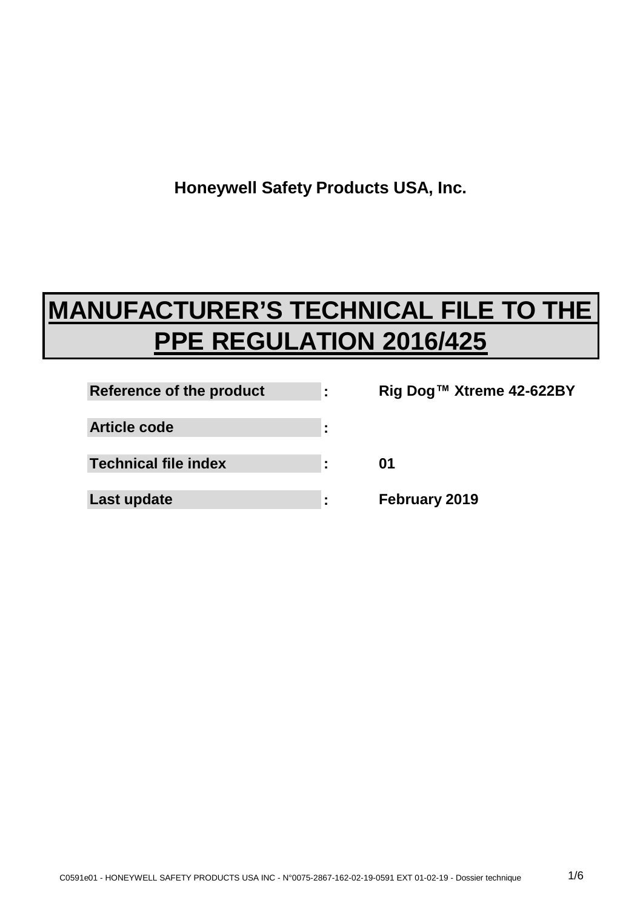**Honeywell Safety Products USA, Inc.**

# **MANUFACTURER'S TECHNICAL FILE TO THE PPE REGULATION 2016/425**

| Reference of the product    |   |
|-----------------------------|---|
| <b>Article code</b>         | ٠ |
| <b>Technical file index</b> |   |
| Last update                 |   |

**Rig Dog™ Xtreme 42-622BY 01 February 2019**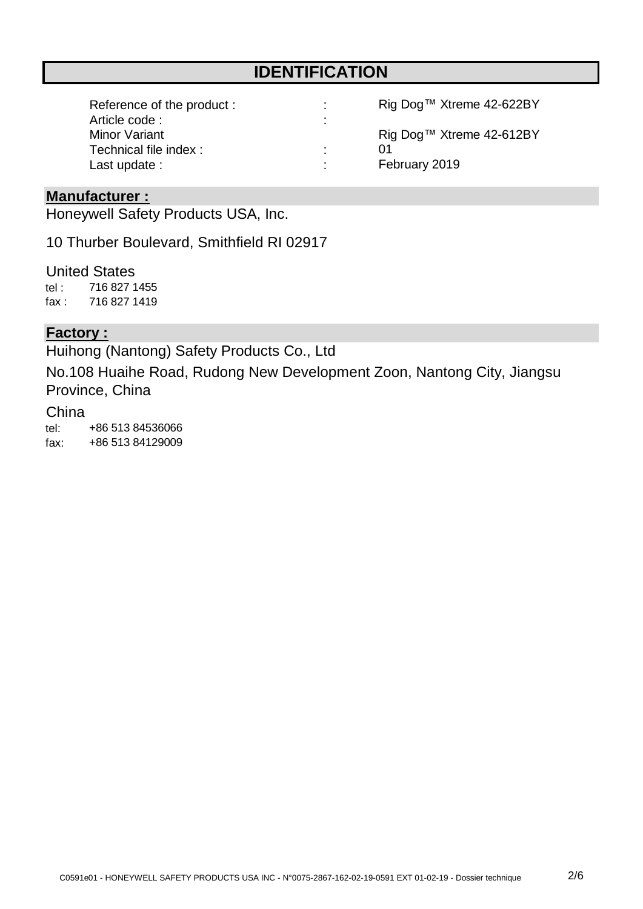# **IDENTIFICATION**

| Reference of the product: | ÷                                          | Rig Dog™ Xtreme 42-622BY |
|---------------------------|--------------------------------------------|--------------------------|
| Article code:             | $\blacksquare$<br>$\overline{\phantom{a}}$ |                          |
| Minor Variant             |                                            | Rig Dog™ Xtreme 42-612BY |
| Technical file index:     | ٠.                                         | በ1                       |
| Last update :             | $\blacksquare$                             | February 2019            |

#### **Manufacturer :**

Honeywell Safety Products USA, Inc.

10 Thurber Boulevard, Smithfield RI 02917

tel : fax : United States 716 827 1419 716 827 1455

#### **Factory :**

Huihong (Nantong) Safety Products Co., Ltd

No.108 Huaihe Road, Rudong New Development Zoon, Nantong City, Jiangsu Province, China

## China

tel: fax: +86 513 84536066 +86 513 84129009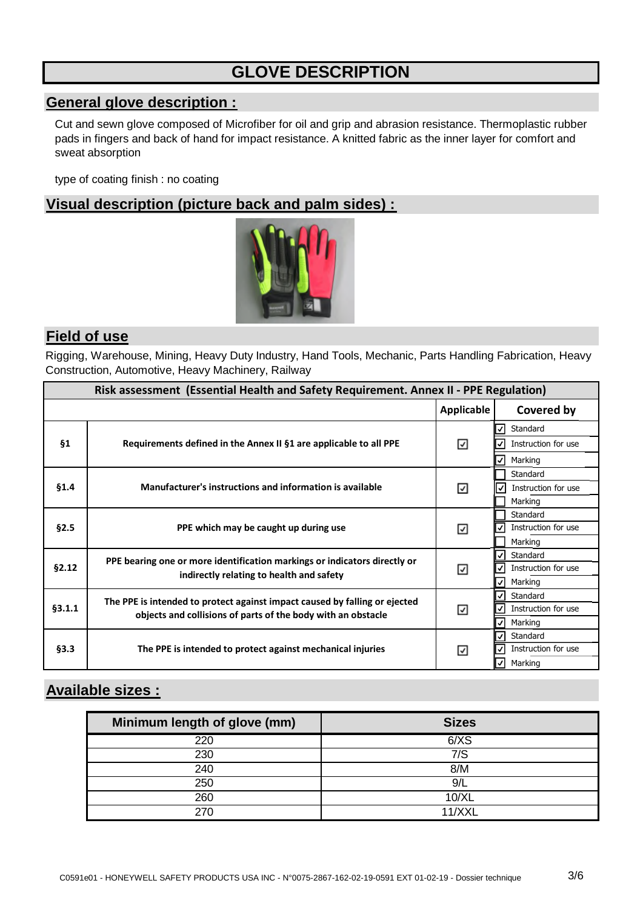# **GLOVE DESCRIPTION**

# **General glove description :**

Cut and sewn glove composed of Microfiber for oil and grip and abrasion resistance. Thermoplastic rubber pads in fingers and back of hand for impact resistance. A knitted fabric as the inner layer for comfort and sweat absorption

type of coating finish : no coating

## **Visual description (picture back and palm sides) :**



### **Field of use**

Rigging, Warehouse, Mining, Heavy Duty Industry, Hand Tools, Mechanic, Parts Handling Fabrication, Heavy Construction, Automotive, Heavy Machinery, Railway

| Risk assessment (Essential Health and Safety Requirement. Annex II - PPE Regulation) |                                                                            |                   |                           |  |
|--------------------------------------------------------------------------------------|----------------------------------------------------------------------------|-------------------|---------------------------|--|
|                                                                                      |                                                                            | <b>Applicable</b> | Covered by                |  |
|                                                                                      |                                                                            |                   | Standard<br>✓             |  |
| <b>§1</b>                                                                            | Requirements defined in the Annex II §1 are applicable to all PPE          | ⊻                 | Instruction for use<br>✓  |  |
|                                                                                      |                                                                            |                   | Marking<br>⋁              |  |
|                                                                                      |                                                                            |                   | Standard                  |  |
| \$1.4                                                                                | Manufacturer's instructions and information is available                   | ☑                 | Instruction for use<br>I√ |  |
|                                                                                      |                                                                            |                   | Marking                   |  |
|                                                                                      |                                                                            |                   | Standard                  |  |
| §2.5                                                                                 | PPE which may be caught up during use                                      | ☑                 | Instruction for use<br>✓  |  |
|                                                                                      |                                                                            |                   | Marking                   |  |
|                                                                                      | PPE bearing one or more identification markings or indicators directly or  |                   | Standard<br>V             |  |
| §2.12<br>indirectly relating to health and safety                                    |                                                                            | ☑                 | Instruction for use<br>√  |  |
|                                                                                      |                                                                            |                   | Marking<br>V              |  |
|                                                                                      | The PPE is intended to protect against impact caused by falling or ejected | ☑                 | Standard<br>✓             |  |
| §3.1.1                                                                               | objects and collisions of parts of the body with an obstacle               |                   | Instruction for use<br>✓  |  |
|                                                                                      |                                                                            |                   | ✓<br>Marking              |  |
|                                                                                      | The PPE is intended to protect against mechanical injuries                 | ☑                 | Standard<br>ιν            |  |
| §3.3                                                                                 |                                                                            |                   | ✓<br>Instruction for use  |  |
|                                                                                      |                                                                            |                   | Marking<br>√              |  |

# **Available sizes :**

| Minimum length of glove (mm) | <b>Sizes</b> |
|------------------------------|--------------|
| 220                          | 6/XS         |
| 230                          | 7/S          |
| 240                          | 8/M          |
| 250                          | 9/I          |
| 260                          | 10/XL        |
|                              | 11/XX        |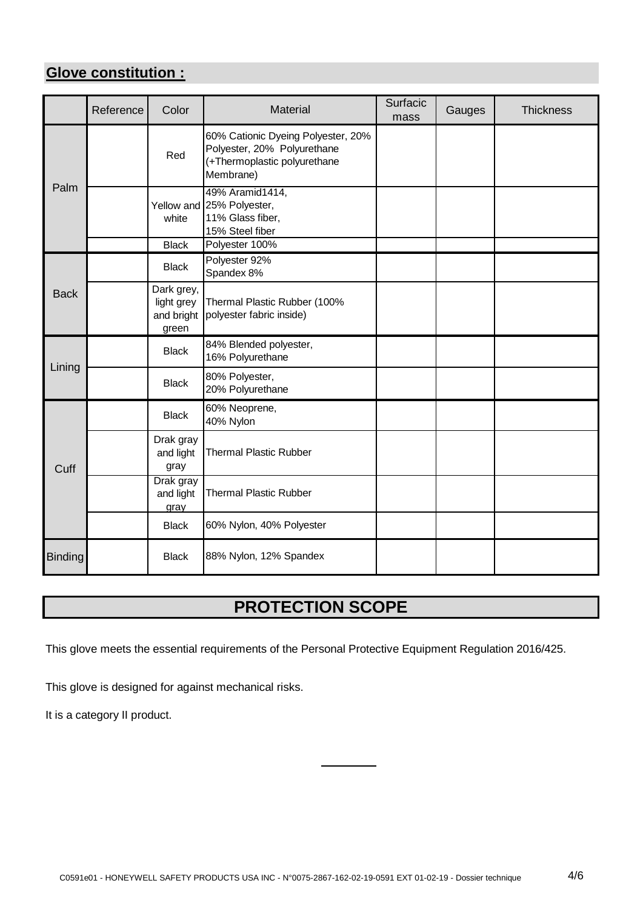# **Glove constitution :**

|                | Reference | Color                                           | Material                                                                                                       | Surfacic<br>mass | Gauges | <b>Thickness</b> |
|----------------|-----------|-------------------------------------------------|----------------------------------------------------------------------------------------------------------------|------------------|--------|------------------|
| Palm           |           | Red                                             | 60% Cationic Dyeing Polyester, 20%<br>Polyester, 20% Polyurethane<br>(+Thermoplastic polyurethane<br>Membrane) |                  |        |                  |
|                |           | white                                           | 49% Aramid1414,<br>Yellow and 25% Polyester,<br>11% Glass fiber,<br>15% Steel fiber                            |                  |        |                  |
|                |           | <b>Black</b>                                    | Polyester 100%                                                                                                 |                  |        |                  |
|                |           | <b>Black</b>                                    | Polyester 92%<br>Spandex 8%                                                                                    |                  |        |                  |
| <b>Back</b>    |           | Dark grey,<br>light grey<br>and bright<br>green | Thermal Plastic Rubber (100%<br>polyester fabric inside)                                                       |                  |        |                  |
|                |           | <b>Black</b>                                    | 84% Blended polyester,<br>16% Polyurethane                                                                     |                  |        |                  |
| Lining         |           | <b>Black</b>                                    | 80% Polyester,<br>20% Polyurethane                                                                             |                  |        |                  |
| Cuff           |           | <b>Black</b>                                    | 60% Neoprene,<br>40% Nylon                                                                                     |                  |        |                  |
|                |           | Drak gray<br>and light<br>gray                  | <b>Thermal Plastic Rubber</b>                                                                                  |                  |        |                  |
|                |           | Drak gray<br>and light<br>gray                  | <b>Thermal Plastic Rubber</b>                                                                                  |                  |        |                  |
|                |           | <b>Black</b>                                    | 60% Nylon, 40% Polyester                                                                                       |                  |        |                  |
| <b>Binding</b> |           | <b>Black</b>                                    | 88% Nylon, 12% Spandex                                                                                         |                  |        |                  |

# **PROTECTION SCOPE**

This glove meets the essential requirements of the Personal Protective Equipment Regulation 2016/425.

This glove is designed for against mechanical risks.

It is a category II product.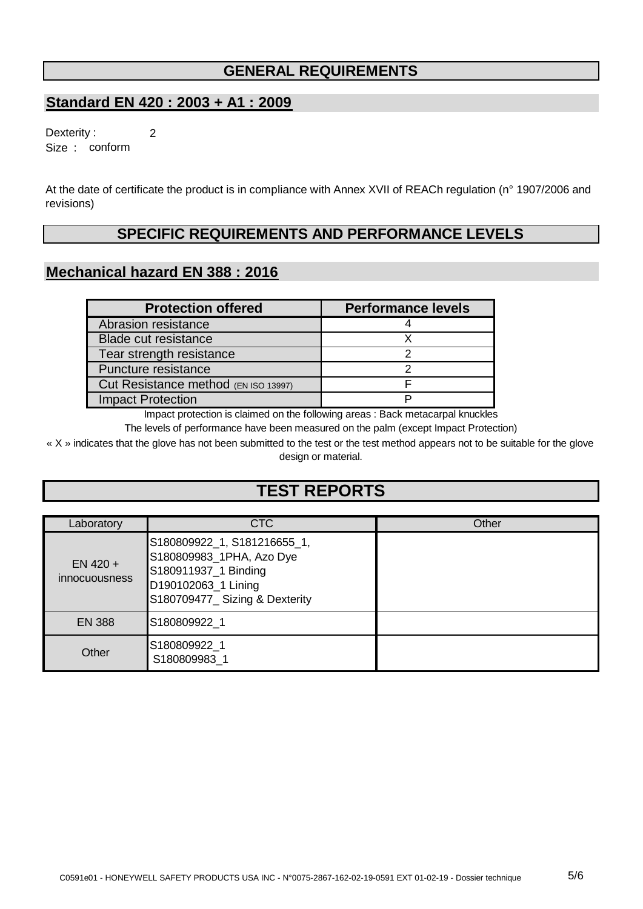## **GENERAL REQUIREMENTS**

### **Standard EN 420 : 2003 + A1 : 2009**

2 Size : conform Dexterity :

At the date of certificate the product is in compliance with Annex XVII of REACh regulation (n° 1907/2006 and revisions)

# **SPECIFIC REQUIREMENTS AND PERFORMANCE LEVELS**

#### **Mechanical hazard EN 388 : 2016**

| <b>Protection offered</b>            | <b>Performance levels</b> |
|--------------------------------------|---------------------------|
| Abrasion resistance                  |                           |
| <b>Blade cut resistance</b>          |                           |
| Tear strength resistance             |                           |
| Puncture resistance                  |                           |
| Cut Resistance method (EN ISO 13997) |                           |
| <b>Impact Protection</b>             |                           |

Impact protection is claimed on the following areas : Back metacarpal knuckles

The levels of performance have been measured on the palm (except Impact Protection)

« X » indicates that the glove has not been submitted to the test or the test method appears not to be suitable for the glove design or material.

# **TEST REPORTS**

| Laboratory                         | CTC                                                                                                                                     | Other |
|------------------------------------|-----------------------------------------------------------------------------------------------------------------------------------------|-------|
| $EN$ 420 +<br><i>innocuousness</i> | S180809922_1, S181216655_1,<br>S180809983_1PHA, Azo Dye<br>S180911937_1 Binding<br>D190102063_1 Lining<br>S180709477_Sizing & Dexterity |       |
| <b>EN 388</b>                      | S180809922 1                                                                                                                            |       |
| Other                              | S180809922 1<br>S180809983 1                                                                                                            |       |